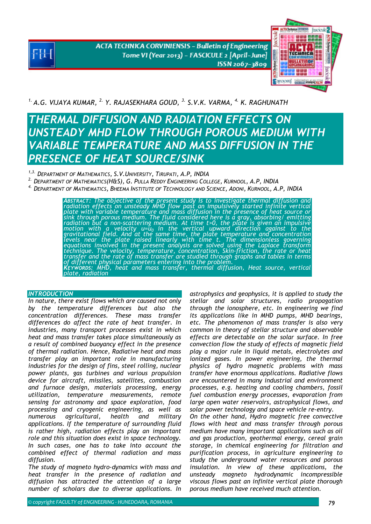**ACTA TECHNICA CORVINIENSIS - Bulletin of Engineering** Tome VI (Year 2013) - FASCICULE 2 [April-June] ISSN 2067-3809



*1. A.G. VIJAYA KUMAR, 2. Y. RAJASEKHARA GOUD, 3. S.V.K. VARMA, 4. K. RAGHUNATH* 

# *THERMAL DIFFUSION AND RADIATION EFFECTS ON UNSTEADY MHD FLOW THROUGH POROUS MEDIUM WITH VARIABLE TEMPERATURE AND MASS DIFFUSION IN THE PRESENCE OF HEAT SOURCE/SINK*

*1,3. DEPARTMENT OF MATHEMATICS, S.V.UNIVERSITY, TIRUPATI, A.P, INDIA* 

*2. DEPARTMENT OF MATHEMATICS(H&S), G. PULLA REDDY ENGINEERING COLLEGE, KURNOOL, A.P, INDIA* 

*4. DEPARTMENT OF MATHEMATICS, BHEEMA INSTITUTE OF TECHNOLOGY AND SCIENCE, ADONI, KURNOOL, A.P, INDIA* 

ABSTRACT: The objective of the present study is to investigate thermal diffusion and<br>radiation effects on unsteady MHD flow past an impulsively started infinite vertical<br>plate with variable temperature and mass diffusion i motion with a velocity u=u<sub>0</sub> in the vertical upward direction against to the<br>gravitational field. And at the same time, the plate temperature and concentration<br>levels near the plate raised linearly with time t. The dimens technique. The velocity, temperature, concentration, Skin-friction, the rate or heat<br>transfer and the rate of mass transfer are studied through graphs and tables in terms<br>of different physical parameters entering into the

# *INTRODUCTION*

*In nature, there exist flows which are caused not only by the temperature differences but also the concentration differences. These mass transfer differences do affect the rate of heat transfer. In industries, many transport processes exist in which heat and mass transfer takes place simultaneously as a result of combined buoyancy effect in the presence of thermal radiation. Hence, Radiative heat and mass transfer play an important role in manufacturing industries for the design of fins, steel rolling, nuclear power plants, gas turbines and various propulsion device for aircraft, missiles, satellites, combustion and furnace design, materials processing, energy utilization, temperature measurements, remote sensing for astronomy and space exploration, food processing and cryogenic engineering, as well as numerous agricultural, health and military applications. If the temperature of surrounding fluid is rather high, radiation effects play an important role and this situation does exist in space technology. In such cases, one has to take into account the combined effect of thermal radiation and mass diffusion.* 

*The study of magneto hydro-dynamics with mass and heat transfer in the presence of radiation and diffusion has attracted the attention of a large number of scholars due to diverse applications. In* 

*astrophysics and geophysics, it is applied to study the stellar and solar structures, radio propagation through the ionosphere, etc. In engineering we find its applications like in MHD pumps, MHD bearings, etc. The phenomenon of mass transfer is also very common in theory of stellar structure and observable effects are detectable on the solar surface. In free convection flow the study of effects of magnetic field play a major rule in liquid metals, electrolytes and ionized gases. In power engineering, the thermal physics of hydro magnetic problems with mass transfer have enormous applications. Radiative flows are encountered in many industrial and environment processes, e.g. heating and cooling chambers, fossil fuel combustion energy processes, evaporation from large open water reservoirs, astrophysical flows, and solar power technology and space vehicle re-entry. On the other hand, Hydro magnetic free convective flows with heat and mass transfer through porous medium have many important applications such as oil and gas production, geothermal energy, cereal grain storage, in chemical engineering for filtration and purification process, in agriculture engineering to study the underground water resources and porous* 

*insulation. In view of these applications, the unsteady magneto hydrodynamic incompressible viscous flows past an infinite vertical plate thorough porous medium have received much attention.*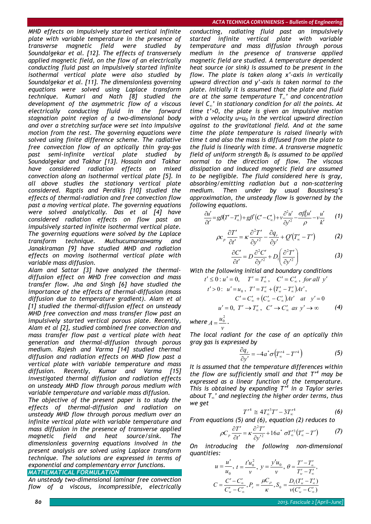*MHD effects on impulsively started vertical infinite plate with variable temperature in the presence of transverse magnetic field were studied by Soundalgekar et al. [12]. The effects of transversely applied magnetic field, on the flow of an electrically conducting fluid past an impulsively started infinite isothermal vertical plate were also studied by Soundalgekar et al. [11]. The dimensionless governing equations were solved using Laplace transform technique. Kumari and Nath [8] studied the development of the asymmetric flow of a viscous electrically conducting fluid in the forward stagnation point region of a two-dimensional body and over a stretching surface were set into impulsive motion from the rest. The governing equations were solved using finite difference scheme. The radiative free convection flow of an optically thin gray-gas past semi-infinite vertical plate studied by Soundalgekar and Takhar [13]. Hossain and Takhar have considered radiation effects on mixed convection along an isothermal vertical plate [5]. In all above studies the stationary vertical plate considered. Raptis and Perdikis [10] studied the effects of thermal-radiation and free convection flow past a moving vertical plate. The governing equations were solved analytically. Das et al [4] have considered radiation effects on flow past an impulsively started infinite isothermal vertical plate. The governing equations were solved by the Laplace transform technique. Muthucumaraswamy and Janakiraman [9] have studied MHD and radiation effects on moving isothermal vertical plate with variable mass diffusion.* 

*Alam and Sattar [3] have analyzed the thermaldiffusion effect on MHD free convection and mass transfer flow. Jha and Singh [6] have studied the importance of the effects of thermal-diffusion (mass diffusion due to temperature gradient). Alam et al [1] studied the thermal-diffusion effect on unsteady MHD free convection and mass transfer flow past an impulsively started vertical porous plate. Recently, Alam et al [2], studied combined free convection and mass transfer flow past a vertical plate with heat generation and thermal-diffusion through porous medium. Rajesh and Varma [14] studied thermal diffusion and radiation effects on MHD flow past a vertical plate with variable temperature and mass diffusion. Recently, Kumar and Varma [15] investigated thermal diffusion and radiation effects on unsteady MHD flow through porous medium with variable temperature and variable mass diffusion.* 

*The objective of the present paper is to study the effects of thermal-diffusion and radiation on unsteady MHD flow through porous medium over an infinite vertical plate with variable temperature and mass diffusion in the presence of transverse applied magnetic field and heat source/sink. The dimensionless governing equations involved in the present analysis are solved using Laplace transform technique. The solutions are expressed in terms of exponential and complementary error functions.* 

# *MATHEMATICAL FORMULATION*

*An unsteady two-dimensional laminar free convection flow of a viscous, incompressible, electrically* 

*conducting, radiating fluid past an impulsively started infinite vertical plate with variable temperature and mass diffusion through porous medium in the presence of transverse applied magnetic field are studied. A temperature dependent heat source (or sink) is assumed to be present in the flow. The plate is taken along x'-axis in vertically upward direction and y'-axis is taken normal to the plate. Initially it is assumed that the plate and fluid are at the same temperature T∞' and concentration level C∞' in stationary condition for all the points. At time t'>0, the plate is given an impulsive motion with a velocity u=u<sub>0</sub> in the vertical upward direction against to the gravitational field. And at the same time the plate temperature is raised linearly with time t and also the mass is diffused from the plate to the fluid is linearly with time. A transverse magnetic field of uniform strength*  $B_0$  *is assumed to be applied normal to the direction of flow. The viscous dissipation and induced magnetic field are assumed to be negligible. The fluid considered here is gray, absorbing/emitting radiation but a non-scattering medium. Then under by usual Boussinesq's approximation, the unsteady flow is governed by the following equations.* 

$$
\frac{\partial u'}{\partial t'} = g\beta (T' - T'_{\infty}) + g\beta^* (C' - C'_{\infty}) + v\frac{\partial^2 u'}{\partial y'^2} - \frac{\sigma \beta_0^2 u'}{\rho} - v\frac{u'}{k'} \qquad (1)
$$

$$
\rho c_p \frac{\partial T'}{\partial t'} = \kappa \frac{\partial^2 T'}{\partial y'^2} - \frac{\partial q_r}{\partial y'} + Q'(T'_\infty - T')
$$
 (2)

$$
\frac{\partial C'}{\partial t'} = D \frac{\partial^2 C'}{\partial y'^2} + D_1 \left( \frac{\partial^2 T'}{\partial y'^2} \right)
$$
 (3)

*With the following initial and boundary conditions* 

$$
t' \le 0: u' = 0, \quad T' = T'_{\infty}, \quad C' = C'_{\infty}, \text{ for all } y'
$$
  
\n
$$
t' > 0: u' = u_0, \quad T' = T'_{\infty} + (T'_{w} - T'_{\infty})At',
$$
  
\n
$$
C' = C'_{\infty} + (C'_{w} - C'_{\infty})At' \quad at \quad y' = 0
$$
  
\n
$$
u' = 0, \quad T' \to T'_{\infty}, \quad C' \to C'_{\infty} \text{ as } y' \to \infty
$$
 (4)

*where v*  $A = \frac{u_0^2}{2}$ .

*The local radiant for the case of an optically thin gray gas is expressed by* 

$$
\frac{\partial q_r}{\partial y'} = -4a^* \sigma \left( T'^4_\infty - T'^4 \right) \tag{5}
$$

*It is assumed that the temperature differences within the flow are sufficiently small and that T'<sup>4</sup> may be expressed as a linear function of the temperature. This is obtained by expanding T'<sup>4</sup> in a Taylor series about T∞' and neglecting the higher order terms, thus we get* 

$$
T'^4 \cong 4T'^3_{\infty}T' - 3T'^4_{\infty} \tag{6}
$$

*From equations (5) and (6), equation (2) reduces to* 

$$
\rho C_p \frac{\partial T'}{\partial t'} = \kappa \frac{\partial^2 T'}{\partial y'^2} + 16a^* \sigma T'^3(\Gamma'_\infty - T') \tag{7}
$$

*On introducing the following non-dimensional quantities:* 

$$
u = \frac{u'}{u_0}, \ t = \frac{t'u_0^2}{v}, \ y = \frac{y'u_0}{v}, \ \theta = \frac{T'-T'_\infty}{T'_\infty - T'_\infty},
$$

$$
C = \frac{C'-C'_\infty}{C'_\infty - C'_\infty}, P_r = \frac{\mu C_\rho}{\kappa}, S_0 = \frac{D_1(T'_\infty - T'_\infty)}{v(C'_\infty - C'_\infty)}
$$

*80 2013. Fascicule 2 [April–June]*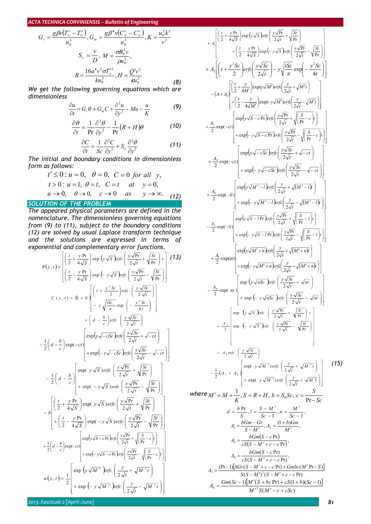$$
G_r = \frac{g\beta v(T_w' - T_\infty')}{u_0^3}, G_m = \frac{g\beta' v(C_w' - C_\infty')}{u_0^3}, K = \frac{u_0^2 k'}{v^2}
$$

$$
S_c = \frac{v}{D}, M = \frac{\sigma B_0^2 v}{\rho u_0^2},
$$

$$
R = \frac{16a^* v^2 \sigma T_\infty'^3}{ku_0^2}, H = \frac{Q'v^2}{\kappa u_0^2}
$$
(8)

*We get the following governing equations which are dimensionless* 

$$
\frac{\partial u}{\partial t} = G_r \theta + G_m C + \frac{\partial^2 u}{\partial y^2} - Mu - \frac{u}{K}
$$
 (9)

$$
\frac{\partial \theta}{\partial t} = \frac{1}{\text{Pr}} \frac{\partial^2 \theta}{\partial y^2} - \frac{1}{\text{Pr}} (R + H) \theta \tag{10}
$$

$$
\frac{\partial C}{\partial t} = \frac{1}{Sc} \frac{\partial^2 C}{\partial y^2} + S_o \frac{\partial^2 \theta}{\partial y^2}
$$
 (11)

*The initial and boundary conditions in dimensionless form as follows:* 

$$
t' \le 0: u = 0, \quad \theta = 0, \quad C = 0 \text{ for all } y,
$$
  
\n
$$
t > 0: u = 1, \quad \theta = t, \quad C = t \quad at \quad y = 0,
$$
  
\n
$$
u \to 0, \quad \theta \to 0, \quad c \to 0 \quad as \quad y \to \infty.
$$
 (12)

# *SOLUTION OF THE PROBLEM*

*The appeared physical parameters are defined in the nomenclature. The dimensionless governing equations from (9) to (11), subject to the boundary conditions (12) are solved by usual Laplace transform technique and the solutions are expressed in terms of exponential and complementary error functions.* 

$$
\theta(y,t) = \begin{bmatrix} \frac{t}{2} + \frac{y \text{ Pr}}{4\sqrt{s}} \text{ exp } (y\sqrt{s}) \text{ Prf} \frac{y\sqrt{\text{Pr}}}{2\sqrt{t}} + \sqrt{\frac{St}{\text{Pr}}} \\ \frac{t}{2} - \frac{y \text{ Pr}}{4\sqrt{s}} \text{ exp } (-y\sqrt{s}) \text{ Prfc } \frac{y\sqrt{\text{Pr}}}{2\sqrt{t}} - \sqrt{\frac{St}{\text{Pr}}} \end{bmatrix}
$$
\n(13)  
\n
$$
C(y,t) = (1 + b) \begin{bmatrix} t + \frac{y^2 Sc}{2} \text{ exp } \left( -\frac{y\sqrt{Sc}}{2\sqrt{t}} \right) \\ -y\sqrt{\frac{tSc}{\pi}} \text{ exp } \left( -\frac{y^2 Sc}{4t} \right) \\ -y\sqrt{\frac{tSc}{\pi}} \text{ exp } \left( -\frac{y^2 Sc}{2\sqrt{t}} \right) \end{bmatrix}
$$
\n
$$
- \frac{1}{2} \left( d - \frac{b}{c} \right) \text{exp}(-ct) \begin{bmatrix} \text{exp}(y\sqrt{-cSc}) \text{ Prfc} \left( \frac{y\sqrt{Sc}}{2\sqrt{t}} + \sqrt{-ct} \right) \\ + \text{exp}(-y\sqrt{-cSc}) \text{ Prfc} \left( \frac{y\sqrt{Sc}}{2\sqrt{t}} - \sqrt{-ct} \right) \\ + \text{exp}(-y\sqrt{s}) \text{ erfc } \left( \frac{y\sqrt{\text{Pr}}}{2\sqrt{t}} - \sqrt{\text{Pr}} \right) \end{bmatrix}
$$
\n
$$
- \frac{1}{2} \left( d - \frac{b}{c} \right) \begin{bmatrix} \text{exp}(y\sqrt{s}) \text{erfc} \left( \frac{y\sqrt{\text{Pr}}}{2\sqrt{t}} + \sqrt{\frac{St}{\text{Pr}}} \right) \\ + \text{exp}(-y\sqrt{s}) \text{erfc} \left( \frac{y\sqrt{\text{Pr}}}{2\sqrt{t}} - \sqrt{\text{Pr}} \right) \\ \frac{1}{2} \left( \frac{t}{2} + \frac{y \text{ Pr}}{4\sqrt{s}} \right) \text{exp}(y\sqrt{s}) \text{erfc} \left( \frac{y\sqrt{\text{Pr}}}{2\sqrt{t}} - \sqrt{\text{Pr}} \right) \end{bmatrix}
$$
\n
$$
+ \frac{
$$

*2013. Fascicule 2 [April–June] 81*

$$
+ A \left[ \left( \frac{1}{2} + \frac{y Pr}{4\sqrt{5}} \right) \exp\left(y\sqrt{5}\right) \exp\left(\frac{y\sqrt{Pr}}{2\sqrt{r}} + \sqrt{\frac{St}{Pr}} \right) + \left( \frac{1}{2} - \frac{y Pr}{4\sqrt{5}} \right) \exp\left(-\frac{y\sqrt{Pr}}{2\sqrt{r}} - \sqrt{\frac{St}{Pr}} \right) + A \left[ \left( t + \frac{y^2 Sc}{2} \right) \exp\left(-\frac{y\sqrt{Sc}}{2\sqrt{t}} \right) - y\sqrt{\frac{ISC}{\pi}} \exp\left(-\frac{y^2 Sc}{2\sqrt{t}} \right) \right) + A \left[ \left( \frac{1}{2} + \frac{y}{4M'} \right) \exp(y\sqrt{M'}) \exp\left(\frac{2}{2\sqrt{t}} + \sqrt{M't} \right) \right] + \left( \frac{1}{2} - \frac{y}{4M'} \right) \exp(y\sqrt{M'}) \exp\left(\frac{y}{2\sqrt{t}} + \sqrt{M't} \right) + \left( \frac{1}{2} - \frac{y}{4M'} \right) \exp(y\sqrt{S-cPr} \right) \exp\left(\frac{y\sqrt{Pr}}{2\sqrt{t}} + \sqrt{\frac{S}{Pr} - c} \right) + \exp\left(-y\sqrt{S-cPr} \right) \exp\left(\frac{y\sqrt{Pr}}{2\sqrt{t}} + \sqrt{\frac{S}{Pr} - c} \right) + \exp\left(-y\sqrt{S-cPr} \right) \exp\left(\frac{y\sqrt{Pr}}{2\sqrt{t}} + \sqrt{\frac{S}{Pr} - c} \right) + \exp\left(-y\sqrt{S-cPr} \right) \exp\left(\frac{y\sqrt{Stc}}{2\sqrt{t}} - \sqrt{-ct} \right) + \exp\left(-y\sqrt{S-cPr} \right) \exp\left(\frac{y\sqrt{Stc}}{2\sqrt{t}} - \sqrt{-ct} \right) + \exp\left(-y\sqrt{S-cPr} \right) \exp\left(\frac{y\sqrt{Stc}}{2\sqrt{t}} - \sqrt{-ct} \right) + \exp\left(-y\sqrt{S-cPr} \right) \exp\left(\frac{y\sqrt{Stc}}{2\sqrt{t}} - \sqrt{-ct} \right) + \exp\left(-y\sqrt{S-cPr} \right) \exp\left(\frac{y\sqrt{Stc}}{2\sqrt{t}} - \sqrt{-ct} \right) + \exp
$$

 $(M' - c + cSc)$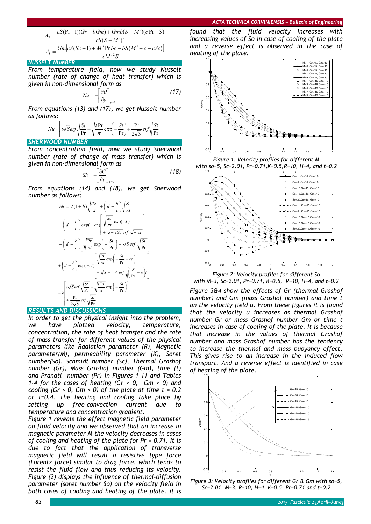$$
A_7 = \frac{cS(\text{Pr}-1)(Gr-bGm) + Gmb(S-M')(c\text{ Pr}-S)}{cS(S-M')^2}
$$
  

$$
A_8 = \frac{Gm[cS(Sc-1) + M'\text{ Pr }bc - bS(M'+c-cSc)]}{cM'^2S}
$$

#### *NUSSELT NUMBER*

*From temperature field, now we study Nusselt number (rate of change of heat transfer) which is given in non-dimensional form as* 

$$
Nu = -\left[\frac{\partial \theta}{\partial y}\right]_{y=0} \tag{17}
$$

*From equations (13) and (17), we get Nusselt number as follows:* 

$$
Nu = \left[ t\sqrt{S}erf\sqrt{\frac{St}{Pr}} + \sqrt{\frac{tPr}{\pi}} exp\left(-\frac{St}{Pr}\right) + \frac{Pr}{2\sqrt{S}} erf\sqrt{\frac{St}{Pr}} \right]
$$

## *SHERWOOD NUMBER*

*From concentration field, now we study Sherwood number (rate of change of mass transfer) which is given in non-dimensional form as* 

$$
Sh = -\left[\frac{\partial C}{\partial y}\right]_{y=0} \tag{18}
$$

*From equations (14) and (18), we get Sherwood number as follows:* 

$$
Sh = 2(1 + b)\sqrt{\frac{tSc}{\pi}} + \left(d - \frac{b}{c}\right)\sqrt{\frac{Sc}{\pi t}}
$$

$$
-\left(d - \frac{b}{c}\right)\exp(-ct)\left[\sqrt{\frac{Sc}{\pi t}}\exp(ct)\right]
$$

$$
-\left(d - \frac{b}{c}\right)\left[\sqrt{\frac{Pr}{\pi t}}\exp\left(-\frac{St}{Pr}\right) + \sqrt{S}erf\sqrt{\frac{St}{Pr}}\right]
$$

$$
+\left(d - \frac{b}{c}\right)\exp(-ct)\left[\sqrt{\frac{Pr}{\pi t}}\exp\left(-\frac{St}{Pr} + ct\right)\right]
$$

$$
+\left(d - \frac{b}{c}\right)\exp(-ct)\left[\sqrt{\frac{Pr}{\pi t}}\exp\left(-\frac{St}{Pr} + ct\right)\right]
$$

$$
-b\left[t\sqrt{S}erf\sqrt{\frac{St}{Pr}} + \sqrt{\frac{tPr}{\pi}}\exp\left(-\frac{St}{Pr}\right)\right]
$$

## *RESULTS AND DISCUSSIONS*

*In order to get the physical insight into the problem, we have plotted velocity, temperature, concentration, the rate of heat transfer and the rate of mass transfer for different values of the physical parameters like Radiation parameter (R), Magnetic parameter(M), permeability parameter (K), Soret number(So), Schmidt number (Sc), Thermal Grashof number (Gr), Mass Grashof number (Gm), time (t) and Prandtl number (Pr) in Figures 1-11 and Tables 1-4 for the cases of heating (Gr < 0, Gm < 0) and cooling (Gr > 0, Gm > 0) of the plate at time t = 0.2 or t=0.4. The heating and cooling take place by setting up free-convection current due to temperature and concentration gradient.* 

*Figure 1 reveals the effect magnetic field parameter on fluid velocity and we observed that an increase in magnetic parameter M the velocity decreases in cases of cooling and heating of the plate for Pr = 0.71. It is due to fact that the application of transverse magnetic field will result a resistive type force (Lorentz force) similar to drag force, which tends to resist the fluid flow and thus reducing its velocity. Figure (2) displays the influence of thermal-diffusion parameter (soret number So) on the velocity field in both cases of cooling and heating of the plate. it is* 

*found that the fluid velocity increases with increasing values of So in case of cooling of the plate and a reverse effect is observed in the case of heating of the plate.* 



y *Figure 1: Velocity profiles for different M with so=5, Sc=2.01, Pr=0.71,K=0.5,R=10, H=4, and t=0.2* 



*Figure 2: Velocity profiles for different So with M=3, Sc=2.01, Pr=0.71, K=0.5, R=10, H=4, and t=0.2*

*Figure 3&4 show the effects of Gr (thermal Grashof number) and Gm (mass Grashof number) and time t on the velocity field u. From these figures it is found that the velocity u increases as thermal Grashof number Gr or mass Grashof number Gm or time t increases in case of cooling of the plate. It is because that increase in the values of thermal Grashof number and mass Grashof number has the tendency to increase the thermal and mass buoyancy effect. This gives rise to an increase in the induced flow transport. And a reverse effect is identified in case of heating of the plate.* 



*Figure 3: Velocity profiles for different Gr & Gm with so=5, Sc=2.01, M=3, R=10, H=4, K=0.5, Pr=0.71 and t=0.2*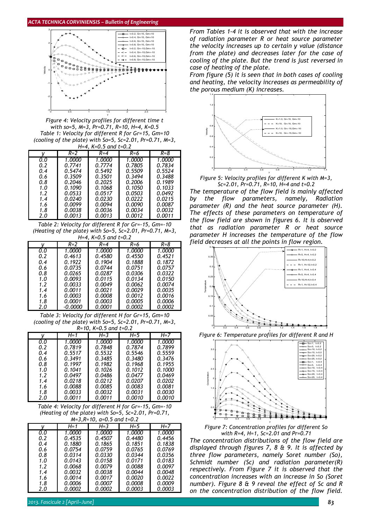

*Figure 4: Velocity profiles for different time t with so=5, M=3, Pr=0.71, R=10, H=4, K=0.5 Table 1: Velocity for different R for Gr=15, Gm=10 (cooling of the plate) with So=5, Sc=2.01, Pr=0.71, M=3, H=4, K=0.5 and t=0.2* 

|     | $R = 2$ | $R = 4$ | R=6    | R=8    |
|-----|---------|---------|--------|--------|
| 0.0 | 1.0000  | 1.0000  | 1.0000 | 1.0000 |
| 0.2 | 0.7741  | 0.7774  | 0.7805 | 0.7834 |
| 0.4 | 0.5474  | 0.5492  | 0.5509 | 0.5524 |
| 0.6 | 0.3509  | 0.3501  | 0.3494 | 0.3488 |
| 0.8 | 0.2046  | 0.2025  | 0.2006 | 0.1989 |
| 1.0 | 0.1090  | 0.1068  | 0.1050 | 0.1033 |
| 1.2 | 0.0533  | 0.0517  | 0.0503 | 0.0492 |
| 1.4 | 0.0240  | 0.0230  | 0.0222 | 0.0215 |
| 1.6 | 0.0099  | 0.0094  | 0.0090 | 0.0087 |
| 1.8 | 0.0038  | 0.0036  | 0.0034 | 0.0032 |
| 2.0 | 0.0013  | 0.0013  | 0.0012 | 0.0011 |

*Table 2: Velocity for different R for Gr=-15, Gm=-10 (Heating of the plate) with So=5, Sc=2.01, Pr=0.71, M=3, H=4, K=0.5 and t=0.2* 

|     | $R = 2$ | $R = 4$ | R=6    | R=8    |
|-----|---------|---------|--------|--------|
| 0.0 | 1.0000  | 1.0000  | 1.0000 | 1.0000 |
| 0.2 | 0.4613  | 0.4580  | 0.4550 | 0.4521 |
| 0.4 | 0.1922  | 0.1904  | 0.1888 | 0.1872 |
| 0.6 | 0.0735  | 0.0744  | 0.0751 | 0.0757 |
| 0.8 | 0.0265  | 0.0287  | 0.0306 | 0.0322 |
| 1.0 | 0.0093  | 0.0115  | 0.0134 | 0.0150 |
| 1.2 | 0.0033  | 0.0049  | 0.0062 | 0.0074 |
| 1.4 | 0.0011  | 0.0021  | 0.0029 | 0.0035 |
| 1.6 | 0.0003  | 0.0008  | 0.0012 | 0.0016 |
| 1.8 | 0.0001  | 0.0003  | 0.0005 | 0.0006 |
| 2.0 | -0.0000 | 0.0001  | 0.0002 | 0.0002 |

*Table 3: Velocity for different H for Gr=15, Gm=10 (cooling of the plate) with So=5, Sc=2.01, Pr=0.71, M=3, R=10, K=0.5 and t=0.2* 

|     | H= 1   | $H = 3$ | $H=5$  | H=7    |
|-----|--------|---------|--------|--------|
| 0.0 | 1.0000 | 1.0000  | 1.0000 | 1.0000 |
| 0.2 | 0.7819 | 0.7848  | 0.7874 | 0.7899 |
| 0.4 | 0.5517 | 0.5532  | 0.5546 | 0.5559 |
| 0.6 | 0.3491 | 0.3485  | 0.3480 | 0.3476 |
| 0.8 | 0.1997 | 0.1982  | 0.1968 | 0.1955 |
| 1.0 | 0.1041 | 0.1026  | 0.1012 | 0.1000 |
| 1.2 | 0.0497 | 0.0486  | 0.0477 | 0.0469 |
| 1.4 | 0.0218 | 0.0212  | 0.0207 | 0.0202 |
| 1.6 | 0.0088 | 0.0085  | 0.0083 | 0.0081 |
| 1.8 | 0.0033 | 0.0032  | 0.0031 | 0.0030 |
| 2.0 | 0.0011 | 0.0011  | 0.0010 | 0.0010 |

*Table 4: Velocity for different H for Gr=-15, Gm=-10 (Heating of the plate) with So=5, Sc=2.01, Pr=0.71, M=3,R=10, a=0.5 and t=0.2* 

|     |               | //1-3,11-10, u-0.3 und t-0.2 |               |         |
|-----|---------------|------------------------------|---------------|---------|
|     | H=1           | $H = 3$                      | $H=5$         | $H = 7$ |
| 0.0 | 1.0000        | 1.0000                       | 1.0000        | 1.0000  |
| 0.2 | 0.4535        | 0.4507                       | 0.4480        | 0.4456  |
| 0.4 | 0.1880        | 0.1865                       | 0.1851        | 0.1838  |
| 0.6 | 0.0754        | 0.0759                       | 0.0765        | 0.0769  |
| 0.8 | 0.0314        | 0.0330                       | 0.0344        | 0.0356  |
| 1.0 | 0.0143        | 0.0158                       | 0.0171        | 0.0183  |
| 1.2 | 0.0068        | 0.0079                       | 0.0088        | 0.0097  |
| 1.4 | 0.0032        | 0.0038                       | 0.0044        | 0.0048  |
| 1.6 | 0.0014        | 0.0017                       | 0.0020        | 0.0022  |
| 1.8 | 0.0006        | 0.0007                       | 0.0008        | 0.0009  |
| 2.0 | <i>0.0002</i> | 0.0002                       | <i>0.0003</i> | 0.0003  |

*From Tables 1-4 it is observed that with the increase of radiation parameter R or heat source parameter the velocity increases up to certain y value (distance from the plate) and decreases later for the case of cooling of the plate. But the trend is just reversed in case of heating of the plate.* 

*From figure (5) it is seen that in both cases of cooling and heating, the velocity increases as permeability of the porous medium (K) increases.* 



*Figure 5: Velocity profiles for different K with M=3, Sc=2.01, Pr=0.71, R=10, H=4 and t=0.2* 

*The temperature of the flow field is mainly affected by the flow parameters, namely, Radiation parameter (R) and the heat source parameter (H). The effects of these parameters on temperature of the flow field are shown in figures 6. It is observed that as radiation parameter R or heat source parameter H increases the temperature of the flow field decreases at all the points in flow region.* 



*Figure 6: Temperature profiles for different R and H* 





*The concentration distributions of the flow field are displayed through figures 7, 8 & 9. It is affected by three flow parameters, namely Soret number (So), Schmidt number (Sc) and radiation parameter(R) respectively. From Figure 7 it is observed that the concentration increases with an increase in So (Soret number). Figure 8 & 9 reveal the effect of Sc and R on the concentration distribution of the flow field.*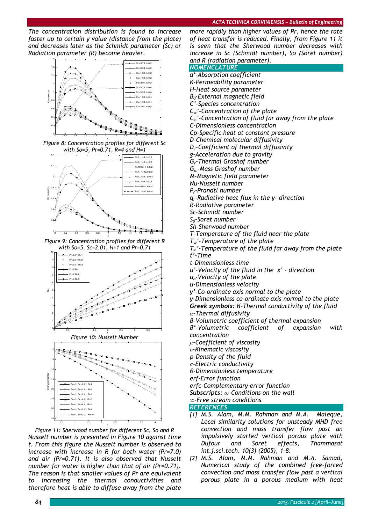*The concentration distribution is found to increase faster up to certain y value (distance from the plate) and decreases later as the Schmidt parameter (Sc) or Radiation parameter (R) become heavier.* 



*Figure 8: Concentration profiles for different Sc with So=5, Pr=0.71, R=4 and H=1* 



*Figure 9: Concentration profiles for different R with So=5, Sc=2.01, H=1 and Pr=0.71* 







*Figure 11: Sherwood number for different Sc, So and R Nusselt number is presented in Figure 10 against time t. From this figure the Nusselt number is observed to increase with increase in R for both water (Pr=7.0) and air (Pr=0.71). It is also observed that Nusselt number for water is higher than that of air (Pr=0.71). The reason is that smaller values of Pr are equivalent to increasing the thermal conductivities and therefore heat is able to diffuse away from the plate* 

*more rapidly than higher values of Pr, hence the rate of heat transfer is reduced. Finally, from Figure 11 it is seen that the Sherwood number decreases with increase in Sc (Schmidt number), So (Soret number) and R (radiation parameter).* 

| . .<br>parameter <i>y</i> :<br><b>NOMENCLATURE</b>                                 |
|------------------------------------------------------------------------------------|
| a*-Absorption coefficient                                                          |
| K-Permeability parameter                                                           |
| H-Heat source parameter                                                            |
| $B0$ -External magnetic field                                                      |
| C'-Species concentration                                                           |
| $C_w'$ -Concentration of the plate                                                 |
| $C_{\infty}$ '-Concentration of fluid far away from the plate                      |
| C-Dimensionless concentration                                                      |
| Cp-Specific heat at constant pressure                                              |
| D-Chemical molecular diffusivity                                                   |
| $D_1$ -Coefficient of thermal diffusivity                                          |
| g-Acceleration due to gravity                                                      |
| G <sub>r</sub> -Thermal Grashof number                                             |
| $G_m$ -Mass Grashof number                                                         |
| M-Magnetic field parameter                                                         |
| Nu-Nusselt number                                                                  |
| P <sub>r</sub> -Prandtl number                                                     |
| $q_r$ -Radiative heat flux in the y- direction                                     |
| R-Radiative parameter                                                              |
| Sc-Schmidt number                                                                  |
| $S_0$ -Soret number                                                                |
| Sh-Sherwood number                                                                 |
| T-Temperature of the fluid near the plate                                          |
| $T_w'$ -Temperature of the plate                                                   |
| $T_{\scriptscriptstyle \infty}$ '-Temperature of the fluid far away from the plate |
| t'-Time                                                                            |
| t-Dimensionless time                                                               |
| $u'$ -Velocity of the fluid in the $x'$ - direction                                |
| $uo$ -Velocity of the plate                                                        |
| u-Dimensionless velocity                                                           |
| y'-Co-ordinate axis normal to the plate                                            |
| y-Dimensionless co-ordinate axis normal to the plate                               |
| Greek symbols: K-Thermal conductivity of the fluid                                 |
| $\alpha$ -Thermal diffusivity                                                      |
| B-Volumetric coefficient of thermal expansion                                      |
| coefficient of<br>B*-Volumetric<br>expansion<br>with                               |
| concentration                                                                      |
| $\mu$ -Coefficient of viscosity                                                    |
| $v$ -Kinematic viscosity                                                           |
| p-Density of the fluid                                                             |
| $\sigma$ -Electric conductivity                                                    |
| θ-Dimensionless temperature                                                        |
| erf-Error function                                                                 |
| erfc-Complementary error function                                                  |
| Subscripts: $\omega$ -Conditions on the wall                                       |
| $\infty$ -Free stream conditions                                                   |
| <b>REFERENCES</b>                                                                  |
| [1] M.S. Alam, M.M. Rahman and M.A.<br>Maleque,                                    |
| Local similarity solutions for unsteady MHD free                                   |
| convection and mass transfer flow past<br>an                                       |

- *impulsively started vertical porous plate with Dufour and Soret effects, Thammasat int.j.sci.tech. 10(3) (2005), 1-8.*
- *[2] M.S. Alam, M.M. Rahman and M.A. Samad, Numerical study of the combined free-forced convection and mass transfer flow past a vertical porous plate in a porous medium with heat*